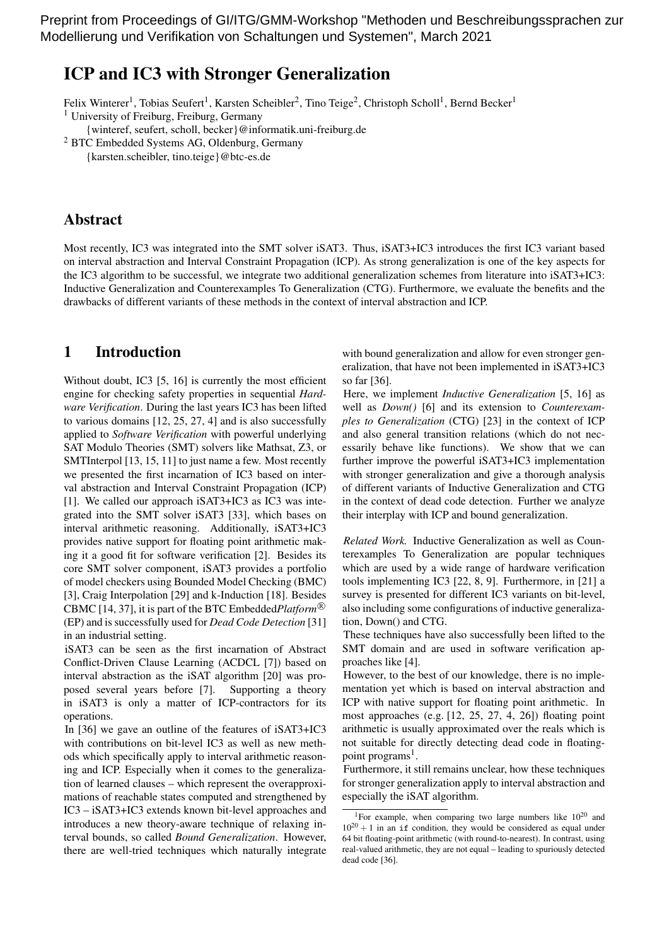Preprint from Proceedings of GI/ITG/GMM-Workshop "Methoden und Beschreibungssprachen zur Modellierung und Verifikation von Schaltungen und Systemen", March 2021

# ICP and IC3 with Stronger Generalization

Felix Winterer<sup>1</sup>, Tobias Seufert<sup>1</sup>, Karsten Scheibler<sup>2</sup>, Tino Teige<sup>2</sup>, Christoph Scholl<sup>1</sup>, Bernd Becker<sup>1</sup>

<sup>1</sup> University of Freiburg, Freiburg, Germany

{winteref, seufert, scholl, becker}@informatik.uni-freiburg.de

<sup>2</sup> BTC Embedded Systems AG, Oldenburg, Germany

{karsten.scheibler, tino.teige}@btc-es.de

# Abstract

Most recently, IC3 was integrated into the SMT solver iSAT3. Thus, iSAT3+IC3 introduces the first IC3 variant based on interval abstraction and Interval Constraint Propagation (ICP). As strong generalization is one of the key aspects for the IC3 algorithm to be successful, we integrate two additional generalization schemes from literature into iSAT3+IC3: Inductive Generalization and Counterexamples To Generalization (CTG). Furthermore, we evaluate the benefits and the drawbacks of different variants of these methods in the context of interval abstraction and ICP.

## 1 Introduction

Without doubt, IC3 [5, 16] is currently the most efficient engine for checking safety properties in sequential *Hardware Verification*. During the last years IC3 has been lifted to various domains [12, 25, 27, 4] and is also successfully applied to *Software Verification* with powerful underlying SAT Modulo Theories (SMT) solvers like Mathsat, Z3, or SMTInterpol [13, 15, 11] to just name a few. Most recently we presented the first incarnation of IC3 based on interval abstraction and Interval Constraint Propagation (ICP) [1]. We called our approach iSAT3+IC3 as IC3 was integrated into the SMT solver iSAT3 [33], which bases on interval arithmetic reasoning. Additionally, iSAT3+IC3 provides native support for floating point arithmetic making it a good fit for software verification [2]. Besides its core SMT solver component, iSAT3 provides a portfolio of model checkers using Bounded Model Checking (BMC) [3], Craig Interpolation [29] and k-Induction [18]. Besides CBMC [14, 37], it is part of the BTC Embedded*Platform* <sup>R</sup> (EP) and is successfully used for *Dead Code Detection* [31] in an industrial setting.

iSAT3 can be seen as the first incarnation of Abstract Conflict-Driven Clause Learning (ACDCL [7]) based on interval abstraction as the iSAT algorithm [20] was proposed several years before [7]. Supporting a theory in iSAT3 is only a matter of ICP-contractors for its operations.

In [36] we gave an outline of the features of iSAT3+IC3 with contributions on bit-level IC3 as well as new methods which specifically apply to interval arithmetic reasoning and ICP. Especially when it comes to the generalization of learned clauses – which represent the overapproximations of reachable states computed and strengthened by IC3 – iSAT3+IC3 extends known bit-level approaches and introduces a new theory-aware technique of relaxing interval bounds, so called *Bound Generalization*. However, there are well-tried techniques which naturally integrate with bound generalization and allow for even stronger generalization, that have not been implemented in iSAT3+IC3 so far [36].

Here, we implement *Inductive Generalization* [5, 16] as well as *Down()* [6] and its extension to *Counterexamples to Generalization* (CTG) [23] in the context of ICP and also general transition relations (which do not necessarily behave like functions). We show that we can further improve the powerful iSAT3+IC3 implementation with stronger generalization and give a thorough analysis of different variants of Inductive Generalization and CTG in the context of dead code detection. Further we analyze their interplay with ICP and bound generalization.

*Related Work.* Inductive Generalization as well as Counterexamples To Generalization are popular techniques which are used by a wide range of hardware verification tools implementing IC3 [22, 8, 9]. Furthermore, in [21] a survey is presented for different IC3 variants on bit-level, also including some configurations of inductive generalization, Down() and CTG.

These techniques have also successfully been lifted to the SMT domain and are used in software verification approaches like [4].

However, to the best of our knowledge, there is no implementation yet which is based on interval abstraction and ICP with native support for floating point arithmetic. In most approaches (e.g. [12, 25, 27, 4, 26]) floating point arithmetic is usually approximated over the reals which is not suitable for directly detecting dead code in floatingpoint programs<sup>1</sup>.

Furthermore, it still remains unclear, how these techniques for stronger generalization apply to interval abstraction and especially the iSAT algorithm.

<sup>&</sup>lt;sup>1</sup>For example, when comparing two large numbers like  $10^{20}$  and  $10^{20} + 1$  in an if condition, they would be considered as equal under 64 bit floating-point arithmetic (with round-to-nearest). In contrast, using real-valued arithmetic, they are not equal – leading to spuriously detected dead code [36].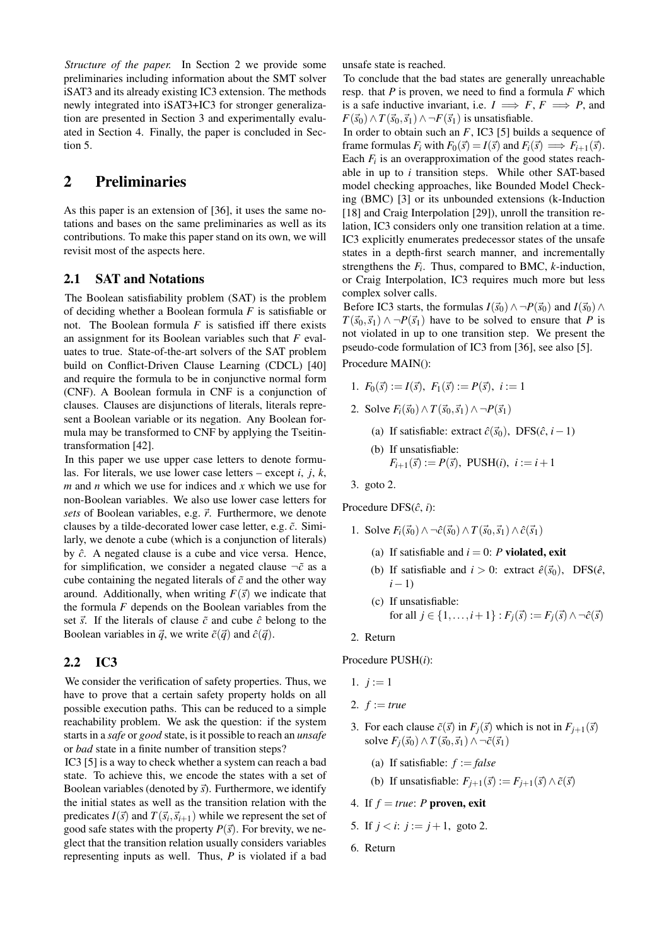*Structure of the paper.* In Section 2 we provide some preliminaries including information about the SMT solver iSAT3 and its already existing IC3 extension. The methods newly integrated into iSAT3+IC3 for stronger generalization are presented in Section 3 and experimentally evaluated in Section 4. Finally, the paper is concluded in Section 5.

# 2 Preliminaries

As this paper is an extension of [36], it uses the same notations and bases on the same preliminaries as well as its contributions. To make this paper stand on its own, we will revisit most of the aspects here.

## 2.1 SAT and Notations

The Boolean satisfiability problem (SAT) is the problem of deciding whether a Boolean formula *F* is satisfiable or not. The Boolean formula *F* is satisfied iff there exists an assignment for its Boolean variables such that *F* evaluates to true. State-of-the-art solvers of the SAT problem build on Conflict-Driven Clause Learning (CDCL) [40] and require the formula to be in conjunctive normal form (CNF). A Boolean formula in CNF is a conjunction of clauses. Clauses are disjunctions of literals, literals represent a Boolean variable or its negation. Any Boolean formula may be transformed to CNF by applying the Tseitintransformation [42].

In this paper we use upper case letters to denote formulas. For literals, we use lower case letters – except *i*, *j*, *k*, *m* and *n* which we use for indices and *x* which we use for non-Boolean variables. We also use lower case letters for *sets* of Boolean variables, e.g.  $\vec{r}$ . Furthermore, we denote clauses by a tilde-decorated lower case letter, e.g. ˜*c*. Similarly, we denote a cube (which is a conjunction of literals) by ˆ*c*. A negated clause is a cube and vice versa. Hence, for simplification, we consider a negated clause  $\neg \tilde{c}$  as a cube containing the negated literals of  $\tilde{c}$  and the other way around. Additionally, when writing  $F(\vec{s})$  we indicate that the formula *F* depends on the Boolean variables from the set  $\vec{s}$ . If the literals of clause  $\tilde{c}$  and cube  $\hat{c}$  belong to the Boolean variables in  $\vec{q}$ , we write  $\tilde{c}(\vec{q})$  and  $\hat{c}(\vec{q})$ .

## 2.2 IC3

We consider the verification of safety properties. Thus, we have to prove that a certain safety property holds on all possible execution paths. This can be reduced to a simple reachability problem. We ask the question: if the system starts in a *safe* or *good* state, is it possible to reach an *unsafe* or *bad* state in a finite number of transition steps?

IC3 [5] is a way to check whether a system can reach a bad state. To achieve this, we encode the states with a set of Boolean variables (denoted by  $\vec{s}$ ). Furthermore, we identify the initial states as well as the transition relation with the predicates  $I(\vec{s})$  and  $T(\vec{s}_i, \vec{s}_{i+1})$  while we represent the set of good safe states with the property  $P(\vec{s})$ . For brevity, we neglect that the transition relation usually considers variables representing inputs as well. Thus, *P* is violated if a bad unsafe state is reached.

To conclude that the bad states are generally unreachable resp. that *P* is proven, we need to find a formula *F* which is a safe inductive invariant, i.e.  $I \implies F, F \implies P$ , and *F*( $\vec{s}_0$ )∧*T*( $\vec{s}_0$ , $\vec{s}_1$ )∧ ¬*F*( $\vec{s}_1$ ) is unsatisfiable.

In order to obtain such an *F*, IC3 [5] builds a sequence of frame formulas  $F_i$  with  $F_0(\vec{s}) = I(\vec{s})$  and  $F_i(\vec{s}) \implies F_{i+1}(\vec{s})$ . Each  $F_i$  is an overapproximation of the good states reachable in up to *i* transition steps. While other SAT-based model checking approaches, like Bounded Model Checking (BMC) [3] or its unbounded extensions (k-Induction [18] and Craig Interpolation [29]), unroll the transition relation, IC3 considers only one transition relation at a time. IC3 explicitly enumerates predecessor states of the unsafe states in a depth-first search manner, and incrementally strengthens the *F<sup>i</sup>* . Thus, compared to BMC, *k*-induction, or Craig Interpolation, IC3 requires much more but less complex solver calls.

Before IC3 starts, the formulas  $I(\vec{s}_0) \wedge \neg P(\vec{s}_0)$  and  $I(\vec{s}_0) \wedge \neg P(\vec{s}_0)$  $T(\vec{s}_0, \vec{s}_1) \wedge \neg P(\vec{s}_1)$  have to be solved to ensure that *P* is not violated in up to one transition step. We present the pseudo-code formulation of IC3 from [36], see also [5].

Procedure MAIN():

- 1.  $F_0(\vec{s}) := I(\vec{s}), F_1(\vec{s}) := P(\vec{s}), i := 1$
- 2. Solve  $F_i(\vec{s}_0) \wedge T(\vec{s}_0, \vec{s}_1) \wedge \neg P(\vec{s}_1)$ 
	- (a) If satisfiable: extract  $\hat{c}(\vec{s}_0)$ , DFS( $\hat{c}, i-1$ )
	- (b) If unsatisfiable:

$$
F_{i+1}(\vec{s}) := P(\vec{s}), \text{ PUSH}(i), i := i+1
$$

3. goto 2.

Procedure DFS( $\hat{c}$ , *i*):

- 1. Solve  $F_i(\vec{s}_0) \wedge \neg \hat{c}(\vec{s}_0) \wedge T(\vec{s}_0, \vec{s}_1) \wedge \hat{c}(\vec{s}_1)$ 
	- (a) If satisfiable and  $i = 0$ : *P* violated, exit
	- (b) If satisfiable and  $i > 0$ : extract  $\hat{e}(\vec{s}_0)$ , DFS( $\hat{e}$ , *i*−1)
	- (c) If unsatisfiable: for all  $j \in \{1, \ldots, i+1\} : F_i(\vec{s}) := F_i(\vec{s}) \wedge \neg \hat{c}(\vec{s})$
- 2. Return

Procedure PUSH(*i*):

- 1.  $j := 1$
- 2.  $f := true$
- 3. For each clause  $\tilde{c}(\vec{s})$  in  $F_i(\vec{s})$  which is not in  $F_{i+1}(\vec{s})$ solve  $F_i(\vec{s}_0) \wedge T(\vec{s}_0, \vec{s}_1) \wedge \neg \tilde{c}(\vec{s}_1)$ 
	- (a) If satisfiable:  $f := false$
	- (b) If unsatisfiable:  $F_{i+1}(\vec{s}) := F_{i+1}(\vec{s}) \wedge \vec{c}(\vec{s})$
- 4. If  $f = true$ : *P* proven, exit
- 5. If  $j < i$ :  $j := j + 1$ , goto 2.
- 6. Return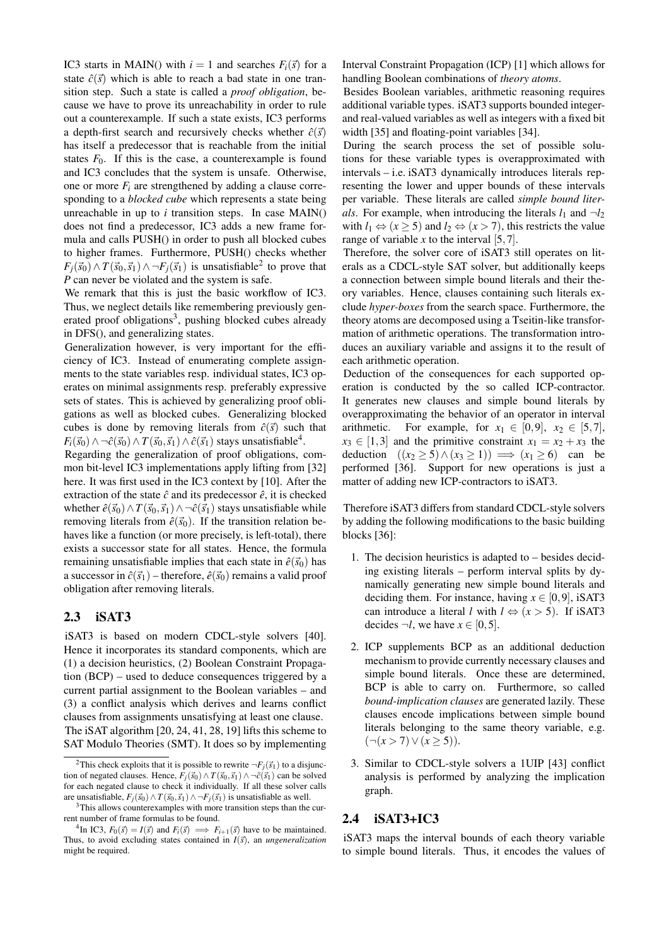IC3 starts in MAIN() with  $i = 1$  and searches  $F_i(\vec{s})$  for a state  $\hat{c}(\vec{s})$  which is able to reach a bad state in one transition step. Such a state is called a *proof obligation*, because we have to prove its unreachability in order to rule out a counterexample. If such a state exists, IC3 performs a depth-first search and recursively checks whether  $\hat{c}(\vec{s})$ has itself a predecessor that is reachable from the initial states  $F_0$ . If this is the case, a counterexample is found and IC3 concludes that the system is unsafe. Otherwise, one or more  $F_i$  are strengthened by adding a clause corresponding to a *blocked cube* which represents a state being unreachable in up to *i* transition steps. In case MAIN() does not find a predecessor, IC3 adds a new frame formula and calls PUSH() in order to push all blocked cubes to higher frames. Furthermore, PUSH() checks whether  $F_j(\vec{s}_0) \wedge T(\vec{s}_0, \vec{s}_1) \wedge \neg F_j(\vec{s}_1)$  is unsatisfiable<sup>2</sup> to prove that *P* can never be violated and the system is safe.

We remark that this is just the basic workflow of IC3. Thus, we neglect details like remembering previously generated proof obligations<sup>3</sup>, pushing blocked cubes already in DFS(), and generalizing states.

Generalization however, is very important for the efficiency of IC3. Instead of enumerating complete assignments to the state variables resp. individual states, IC3 operates on minimal assignments resp. preferably expressive sets of states. This is achieved by generalizing proof obligations as well as blocked cubes. Generalizing blocked cubes is done by removing literals from  $\hat{c}(\vec{s})$  such that  $F_i(\vec{s}_0) \wedge \neg \hat{c}(\vec{s}_0) \wedge T(\vec{s}_0,\vec{s}_1) \wedge \hat{c}(\vec{s}_1)$  stays unsatisfiable<sup>4</sup>.

Regarding the generalization of proof obligations, common bit-level IC3 implementations apply lifting from [32] here. It was first used in the IC3 context by [10]. After the extraction of the state  $\hat{c}$  and its predecessor  $\hat{e}$ , it is checked whether  $\hat{e}(\vec{s}_0) \wedge T(\vec{s}_0, \vec{s}_1) \wedge \neg \hat{c}(\vec{s}_1)$  stays unsatisfiable while removing literals from  $\hat{e}(\vec{s}_0)$ . If the transition relation behaves like a function (or more precisely, is left-total), there exists a successor state for all states. Hence, the formula remaining unsatisfiable implies that each state in  $\hat{e}(\vec{s}_0)$  has a successor in  $\hat{c}(\vec{s}_1)$  – therefore,  $\hat{e}(\vec{s}_0)$  remains a valid proof obligation after removing literals.

## 2.3 iSAT3

iSAT3 is based on modern CDCL-style solvers [40]. Hence it incorporates its standard components, which are (1) a decision heuristics, (2) Boolean Constraint Propagation (BCP) – used to deduce consequences triggered by a current partial assignment to the Boolean variables – and (3) a conflict analysis which derives and learns conflict clauses from assignments unsatisfying at least one clause. The iSAT algorithm [20, 24, 41, 28, 19] lifts this scheme to SAT Modulo Theories (SMT). It does so by implementing Interval Constraint Propagation (ICP) [1] which allows for handling Boolean combinations of *theory atoms*.

Besides Boolean variables, arithmetic reasoning requires additional variable types. iSAT3 supports bounded integerand real-valued variables as well as integers with a fixed bit width [35] and floating-point variables [34].

During the search process the set of possible solutions for these variable types is overapproximated with intervals – i.e. iSAT3 dynamically introduces literals representing the lower and upper bounds of these intervals per variable. These literals are called *simple bound literals*. For example, when introducing the literals  $l_1$  and  $\neg l_2$ with  $l_1 \Leftrightarrow (x \ge 5)$  and  $l_2 \Leftrightarrow (x > 7)$ , this restricts the value range of variable  $x$  to the interval  $[5,7]$ .

Therefore, the solver core of iSAT3 still operates on literals as a CDCL-style SAT solver, but additionally keeps a connection between simple bound literals and their theory variables. Hence, clauses containing such literals exclude *hyper-boxes* from the search space. Furthermore, the theory atoms are decomposed using a Tseitin-like transformation of arithmetic operations. The transformation introduces an auxiliary variable and assigns it to the result of each arithmetic operation.

Deduction of the consequences for each supported operation is conducted by the so called ICP-contractor. It generates new clauses and simple bound literals by overapproximating the behavior of an operator in interval arithmetic. For example, for  $x_1 \in [0,9]$ ,  $x_2 \in [5,7]$ ,  $x_3 \in [1,3]$  and the primitive constraint  $x_1 = x_2 + x_3$  the deduction  $((x_2 \geq 5) \land (x_3 \geq 1)) \implies (x_1 \geq 6)$  can be performed [36]. Support for new operations is just a matter of adding new ICP-contractors to iSAT3.

Therefore iSAT3 differs from standard CDCL-style solvers by adding the following modifications to the basic building blocks [36]:

- 1. The decision heuristics is adapted to besides deciding existing literals – perform interval splits by dynamically generating new simple bound literals and deciding them. For instance, having  $x \in [0, 9]$ , iSAT3 can introduce a literal *l* with  $l \Leftrightarrow (x > 5)$ . If iSAT3 decides  $\neg l$ , we have  $x \in [0, 5]$ .
- 2. ICP supplements BCP as an additional deduction mechanism to provide currently necessary clauses and simple bound literals. Once these are determined, BCP is able to carry on. Furthermore, so called *bound-implication clauses* are generated lazily. These clauses encode implications between simple bound literals belonging to the same theory variable, e.g.  $(¬(x > 7) ∨ (x \ge 5)).$
- 3. Similar to CDCL-style solvers a 1UIP [43] conflict analysis is performed by analyzing the implication graph.

## 2.4 iSAT3+IC3

iSAT3 maps the interval bounds of each theory variable to simple bound literals. Thus, it encodes the values of

<sup>&</sup>lt;sup>2</sup>This check exploits that it is possible to rewrite  $\neg F_j(\vec{s}_1)$  to a disjunction of negated clauses. Hence,  $F_i(\vec{s}_0) \wedge T(\vec{s}_0, \vec{s}_1) \wedge \neg \tilde{c}(\vec{s}_1)$  can be solved for each negated clause to check it individually. If all these solver calls are unsatisfiable,  $F_j(\vec{s}_0) \wedge T(\vec{s}_0, \vec{s}_1) \wedge \neg F_j(\vec{s}_1)$  is unsatisfiable as well.

<sup>&</sup>lt;sup>3</sup>This allows counterexamples with more transition steps than the current number of frame formulas to be found.

<sup>&</sup>lt;sup>4</sup>In IC3,  $F_0(\vec{s}) = I(\vec{s})$  and  $F_i(\vec{s}) \implies F_{i+1}(\vec{s})$  have to be maintained. Thus, to avoid excluding states contained in  $I(\vec{s})$ , an *ungeneralization* might be required.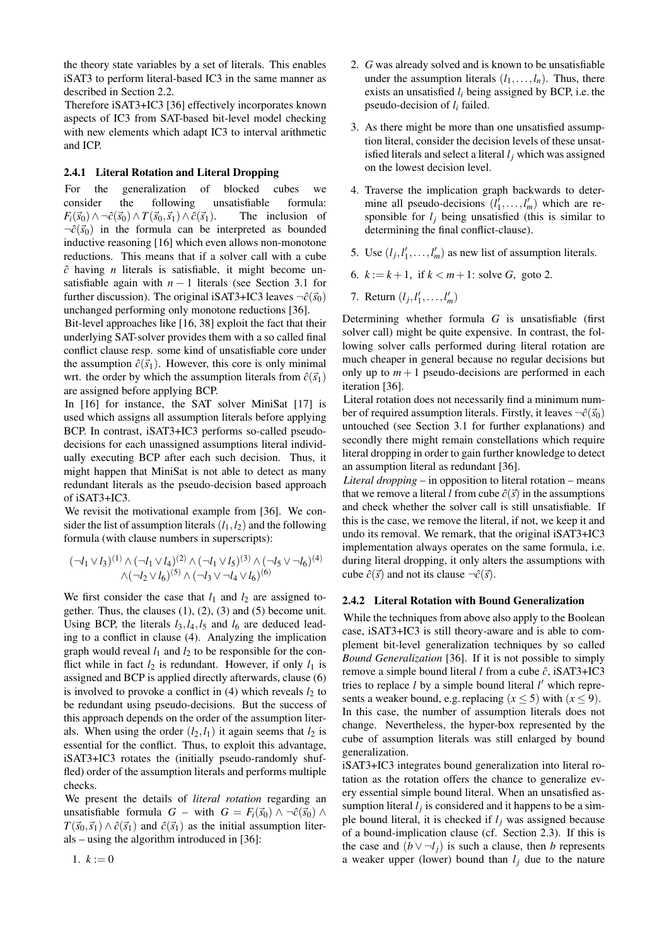the theory state variables by a set of literals. This enables iSAT3 to perform literal-based IC3 in the same manner as described in Section 2.2.

Therefore iSAT3+IC3 [36] effectively incorporates known aspects of IC3 from SAT-based bit-level model checking with new elements which adapt IC3 to interval arithmetic and ICP.

### 2.4.1 Literal Rotation and Literal Dropping

For the generalization of blocked cubes we consider the following unsatisfiable formula:  $F_i(\vec{s}_0) \wedge \neg \hat{c}(\vec{s}_0) \wedge T(\vec{s}_0, \vec{s}_1) \wedge \hat{c}(\vec{s}_1)$ . The inclusion of  $\neg \hat{c}(\vec{s}_0)$  in the formula can be interpreted as bounded inductive reasoning [16] which even allows non-monotone reductions. This means that if a solver call with a cube *c*ˆ having *n* literals is satisfiable, it might become unsatisfiable again with  $n - 1$  literals (see Section 3.1 for further discussion). The original iSAT3+IC3 leaves  $\neg \hat{c}(\vec{s}_0)$ unchanged performing only monotone reductions [36].

Bit-level approaches like [16, 38] exploit the fact that their underlying SAT-solver provides them with a so called final conflict clause resp. some kind of unsatisfiable core under the assumption  $\hat{c}(\vec{s}_1)$ . However, this core is only minimal wrt. the order by which the assumption literals from  $\hat{c}(\vec{s}_1)$ are assigned before applying BCP.

In [16] for instance, the SAT solver MiniSat [17] is used which assigns all assumption literals before applying BCP. In contrast, iSAT3+IC3 performs so-called pseudodecisions for each unassigned assumptions literal individually executing BCP after each such decision. Thus, it might happen that MiniSat is not able to detect as many redundant literals as the pseudo-decision based approach of iSAT3+IC3.

We revisit the motivational example from [36]. We consider the list of assumption literals  $(l_1, l_2)$  and the following formula (with clause numbers in superscripts):

$$
(\neg l_1 \lor l_3)^{(1)} \land (\neg l_1 \lor l_4)^{(2)} \land (\neg l_1 \lor l_5)^{(3)} \land (\neg l_5 \lor \neg l_6)^{(4)}
$$
  

$$
\land (\neg l_2 \lor l_6)^{(5)} \land (\neg l_3 \lor \neg l_4 \lor l_6)^{(6)}
$$

We first consider the case that  $l_1$  and  $l_2$  are assigned together. Thus, the clauses  $(1)$ ,  $(2)$ ,  $(3)$  and  $(5)$  become unit. Using BCP, the literals  $l_3$ ,  $l_4$ ,  $l_5$  and  $l_6$  are deduced leading to a conflict in clause (4). Analyzing the implication graph would reveal  $l_1$  and  $l_2$  to be responsible for the conflict while in fact  $l_2$  is redundant. However, if only  $l_1$  is assigned and BCP is applied directly afterwards, clause (6) is involved to provoke a conflict in  $(4)$  which reveals  $l_2$  to be redundant using pseudo-decisions. But the success of this approach depends on the order of the assumption literals. When using the order  $(l_2, l_1)$  it again seems that  $l_2$  is essential for the conflict. Thus, to exploit this advantage, iSAT3+IC3 rotates the (initially pseudo-randomly shuffled) order of the assumption literals and performs multiple checks.

We present the details of *literal rotation* regarding an unsatisfiable formula *G* – with *G* =  $F_i(\vec{s}_0)$  ∧ ¬ $\hat{c}(\vec{s}_0)$  ∧  $T(\vec{s}_0, \vec{s}_1) \wedge \hat{c}(\vec{s}_1)$  and  $\hat{c}(\vec{s}_1)$  as the initial assumption literals – using the algorithm introduced in [36]:

- 2. *G* was already solved and is known to be unsatisfiable under the assumption literals  $(l_1, \ldots, l_n)$ . Thus, there exists an unsatisfied *l<sup>i</sup>* being assigned by BCP, i.e. the pseudo-decision of *l<sup>i</sup>* failed.
- 3. As there might be more than one unsatisfied assumption literal, consider the decision levels of these unsatisfied literals and select a literal *l<sup>j</sup>* which was assigned on the lowest decision level.
- 4. Traverse the implication graph backwards to determine all pseudo-decisions  $(l'_1, \ldots, l'_m)$  which are responsible for  $l_j$  being unsatisfied (this is similar to determining the final conflict-clause).
- 5. Use  $(l_j, l'_1, \ldots, l'_m)$  as new list of assumption literals.
- 6.  $k := k + 1$ , if  $k < m + 1$ : solve *G*, goto 2.
- 7. Return  $(l_j, l'_1, \ldots, l'_m)$

Determining whether formula *G* is unsatisfiable (first solver call) might be quite expensive. In contrast, the following solver calls performed during literal rotation are much cheaper in general because no regular decisions but only up to  $m + 1$  pseudo-decisions are performed in each iteration [36].

Literal rotation does not necessarily find a minimum number of required assumption literals. Firstly, it leaves  $\neg \hat{c}(\vec{s}_0)$ untouched (see Section 3.1 for further explanations) and secondly there might remain constellations which require literal dropping in order to gain further knowledge to detect an assumption literal as redundant [36].

*Literal dropping* – in opposition to literal rotation – means that we remove a literal *l* from cube  $\hat{c}(\vec{s})$  in the assumptions and check whether the solver call is still unsatisfiable. If this is the case, we remove the literal, if not, we keep it and undo its removal. We remark, that the original iSAT3+IC3 implementation always operates on the same formula, i.e. during literal dropping, it only alters the assumptions with cube  $\hat{c}(\vec{s})$  and not its clause  $\neg \hat{c}(\vec{s})$ .

## 2.4.2 Literal Rotation with Bound Generalization

While the techniques from above also apply to the Boolean case, iSAT3+IC3 is still theory-aware and is able to complement bit-level generalization techniques by so called *Bound Generalization* [36]. If it is not possible to simply remove a simple bound literal *l* from a cube ˆ*c*, iSAT3+IC3 tries to replace *l* by a simple bound literal *l'* which represents a weaker bound, e.g. replacing ( $x \le 5$ ) with ( $x \le 9$ ). In this case, the number of assumption literals does not change. Nevertheless, the hyper-box represented by the cube of assumption literals was still enlarged by bound generalization.

iSAT3+IC3 integrates bound generalization into literal rotation as the rotation offers the chance to generalize every essential simple bound literal. When an unsatisfied assumption literal  $l_j$  is considered and it happens to be a simple bound literal, it is checked if  $l_j$  was assigned because of a bound-implication clause (cf. Section 2.3). If this is the case and  $(b \vee \neg l_i)$  is such a clause, then *b* represents a weaker upper (lower) bound than  $l_i$  due to the nature

1.  $k := 0$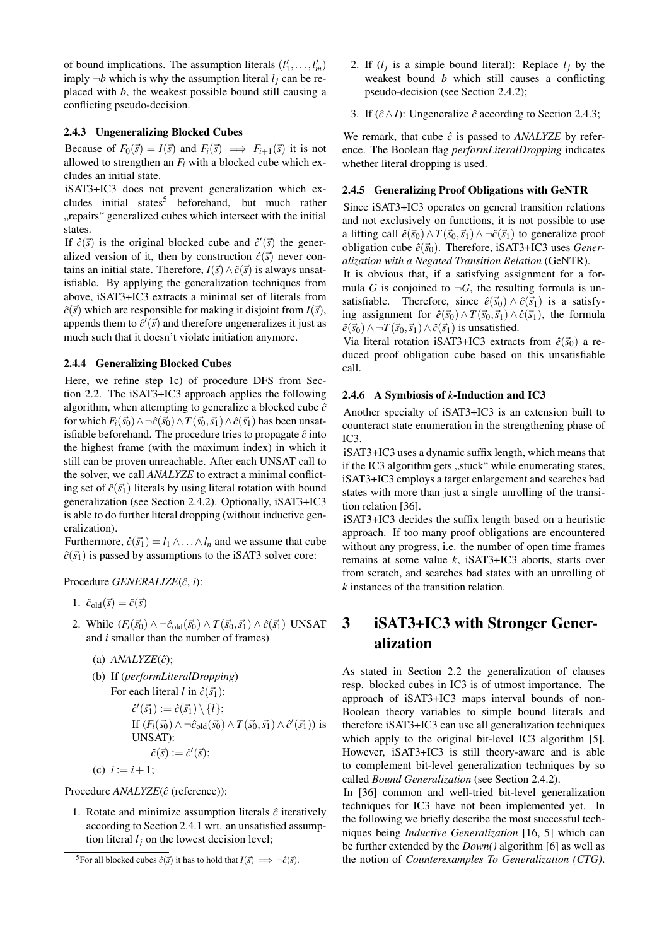of bound implications. The assumption literals  $(l'_1, \ldots, l'_m)$ imply  $\neg b$  which is why the assumption literal  $l_i$  can be replaced with *b*, the weakest possible bound still causing a conflicting pseudo-decision.

#### 2.4.3 Ungeneralizing Blocked Cubes

Because of  $F_0(\vec{s}) = I(\vec{s})$  and  $F_i(\vec{s}) \implies F_{i+1}(\vec{s})$  it is not allowed to strengthen an  $F_i$  with a blocked cube which excludes an initial state.

iSAT3+IC3 does not prevent generalization which excludes initial states<sup>5</sup> beforehand, but much rather "repairs" generalized cubes which intersect with the initial states.

If  $\hat{c}(\vec{s})$  is the original blocked cube and  $\hat{c}'(\vec{s})$  the generalized version of it, then by construction  $\hat{c}(\vec{s})$  never contains an initial state. Therefore,  $I(\vec{s}) \wedge \hat{c}(\vec{s})$  is always unsatisfiable. By applying the generalization techniques from above, iSAT3+IC3 extracts a minimal set of literals from  $\hat{c}(\vec{s})$  which are responsible for making it disjoint from  $I(\vec{s})$ , appends them to  $\hat{c}'(\vec{s})$  and therefore ungeneralizes it just as much such that it doesn't violate initiation anymore.

### 2.4.4 Generalizing Blocked Cubes

Here, we refine step 1c) of procedure DFS from Section 2.2. The iSAT3+IC3 approach applies the following algorithm, when attempting to generalize a blocked cube  $\hat{c}$ for which  $F_i(\vec{s_0}) \wedge \neg \hat{c}(\vec{s_0}) \wedge T(\vec{s_0}, \vec{s_1}) \wedge \hat{c}(\vec{s_1})$  has been unsatisfiable beforehand. The procedure tries to propagate  $\hat{c}$  into the highest frame (with the maximum index) in which it still can be proven unreachable. After each UNSAT call to the solver, we call *ANALYZE* to extract a minimal conflicting set of  $\hat{c}(\vec{s_1})$  literals by using literal rotation with bound generalization (see Section 2.4.2). Optionally, iSAT3+IC3 is able to do further literal dropping (without inductive generalization).

Furthermore,  $\hat{c}(\vec{s_1}) = l_1 \wedge \ldots \wedge l_n$  and we assume that cube  $\hat{c}(\vec{s_1})$  is passed by assumptions to the iSAT3 solver core:

Procedure *GENERALIZE*( $\hat{c}$ , *i*):

- 1.  $\hat{c}_{\text{old}}(\vec{s}) = \hat{c}(\vec{s})$
- 2. While  $(F_i(\vec{s_0}) \wedge \neg \hat{c}_{old}(\vec{s_0}) \wedge T(\vec{s_0}, \vec{s_1}) \wedge \hat{c}(\vec{s_1})$  UNSAT and *i* smaller than the number of frames)
	- (a)  $ANALYZE(\hat{c})$ ;
	- (b) If (*performLiteralDropping*)

For each literal *l* in  $\hat{c}(\vec{s_1})$ :  $\hat{c}'(\vec{s_1}) := \hat{c}(\vec{s_1}) \setminus \{l\};$ If  $(F_i(\vec{s_0}) \wedge \neg \hat{c}_{old}(\vec{s_0}) \wedge T(\vec{s_0}, \vec{s_1}) \wedge \hat{c}'(\vec{s_1}))$  is UNSAT):  $\hat{c}(\vec{s}) := \hat{c}'(\vec{s});$ 

(c)  $i := i + 1$ ;

Procedure  $ANALYZE(\hat{c}$  (reference)):

1. Rotate and minimize assumption literals  $\hat{c}$  iteratively according to Section 2.4.1 wrt. an unsatisfied assumption literal  $l_j$  on the lowest decision level;

- 2. If  $(l_j$  is a simple bound literal): Replace  $l_j$  by the weakest bound *b* which still causes a conflicting pseudo-decision (see Section 2.4.2);
- 3. If  $(\hat{c} \land I)$ : Ungeneralize  $\hat{c}$  according to Section 2.4.3;

We remark, that cube  $\hat{c}$  is passed to *ANALYZE* by reference. The Boolean flag *performLiteralDropping* indicates whether literal dropping is used.

#### 2.4.5 Generalizing Proof Obligations with GeNTR

Since iSAT3+IC3 operates on general transition relations and not exclusively on functions, it is not possible to use a lifting call  $\hat{e}(\vec{s}_0) \wedge T(\vec{s}_0, \vec{s}_1) \wedge \neg \hat{c}(\vec{s}_1)$  to generalize proof obligation cube  $\hat{e}(\vec{s}_0)$ . Therefore, iSAT3+IC3 uses *Generalization with a Negated Transition Relation* (GeNTR).

It is obvious that, if a satisfying assignment for a formula *G* is conjoined to  $\neg G$ , the resulting formula is unsatisfiable. Therefore, since  $\hat{e}(\vec{s}_0) \wedge \hat{c}(\vec{s}_1)$  is a satisfying assignment for  $\hat{e}(\vec{s}_0) \wedge T(\vec{s}_0, \vec{s}_1) \wedge \hat{c}(\vec{s}_1)$ , the formula  $\hat{e}(\vec{s}_0)$  ∧ ¬*T*( $\vec{s}_0$ , $\vec{s}_1$ ) ∧  $\hat{c}(\vec{s}_1)$  is unsatisfied.

Via literal rotation iSAT3+IC3 extracts from  $\hat{e}(\vec{s}_0)$  a reduced proof obligation cube based on this unsatisfiable call.

#### 2.4.6 A Symbiosis of *k*-Induction and IC3

Another specialty of iSAT3+IC3 is an extension built to counteract state enumeration in the strengthening phase of IC3.

iSAT3+IC3 uses a dynamic suffix length, which means that if the IC3 algorithm gets "stuck" while enumerating states, iSAT3+IC3 employs a target enlargement and searches bad states with more than just a single unrolling of the transition relation [36].

iSAT3+IC3 decides the suffix length based on a heuristic approach. If too many proof obligations are encountered without any progress, i.e. the number of open time frames remains at some value *k*, iSAT3+IC3 aborts, starts over from scratch, and searches bad states with an unrolling of *k* instances of the transition relation.

# 3 iSAT3+IC3 with Stronger Generalization

As stated in Section 2.2 the generalization of clauses resp. blocked cubes in IC3 is of utmost importance. The approach of iSAT3+IC3 maps interval bounds of non-Boolean theory variables to simple bound literals and therefore iSAT3+IC3 can use all generalization techniques which apply to the original bit-level IC3 algorithm [5]. However, iSAT3+IC3 is still theory-aware and is able to complement bit-level generalization techniques by so called *Bound Generalization* (see Section 2.4.2).

In [36] common and well-tried bit-level generalization techniques for IC3 have not been implemented yet. In the following we briefly describe the most successful techniques being *Inductive Generalization* [16, 5] which can be further extended by the *Down()* algorithm [6] as well as the notion of *Counterexamples To Generalization (CTG)*.

<sup>&</sup>lt;sup>5</sup>For all blocked cubes  $\hat{c}(\vec{s})$  it has to hold that  $I(\vec{s}) \implies \neg \hat{c}(\vec{s})$ .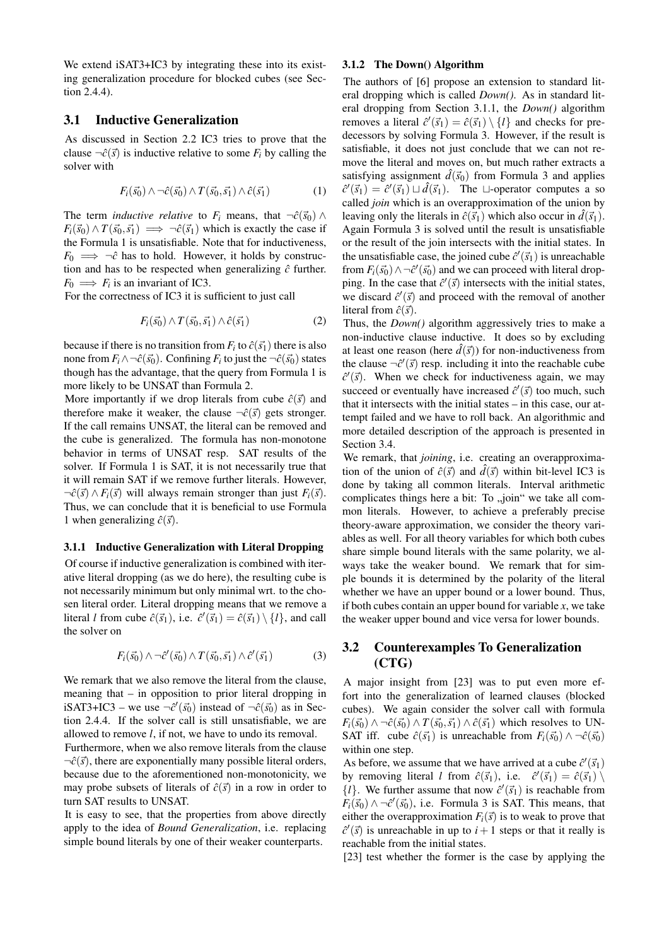We extend  $iSAT3+IC3$  by integrating these into its existing generalization procedure for blocked cubes (see Section 2.4.4).

## 3.1 Inductive Generalization

As discussed in Section 2.2 IC3 tries to prove that the clause  $\neg \hat{c}(\vec{s})$  is inductive relative to some  $F_i$  by calling the solver with

$$
F_i(\vec{s_0}) \wedge \neg \hat{c}(\vec{s_0}) \wedge T(\vec{s_0}, \vec{s_1}) \wedge \hat{c}(\vec{s_1})
$$
\n(1)

The term *inductive relative* to  $F_i$  means, that  $\neg \hat{c}(\vec{s}_0) \land \hat{c}(\vec{s}_i)$  $F_i(\vec{s}_0) \wedge T(\vec{s}_0, \vec{s}_1) \implies \neg \hat{c}(\vec{s}_1)$  which is exactly the case if the Formula 1 is unsatisfiable. Note that for inductiveness,  $F_0 \implies \neg \hat{c}$  has to hold. However, it holds by construction and has to be respected when generalizing  $\hat{c}$  further.  $F_0 \implies F_i$  is an invariant of IC3.

For the correctness of IC3 it is sufficient to just call

$$
F_i(\vec{s_0}) \wedge T(\vec{s_0}, \vec{s_1}) \wedge \hat{c}(\vec{s_1})
$$
 (2)

because if there is no transition from  $F_i$  to  $\hat{c}(\vec{s_1})$  there is also none from  $F_i \wedge \neg \hat{c}(\vec{s_0})$ . Confining  $F_i$  to just the  $\neg \hat{c}(\vec{s_0})$  states though has the advantage, that the query from Formula 1 is more likely to be UNSAT than Formula 2.

More importantly if we drop literals from cube  $\hat{c}(\vec{s})$  and therefore make it weaker, the clause  $\neg \hat{c}(\vec{s})$  gets stronger. If the call remains UNSAT, the literal can be removed and the cube is generalized. The formula has non-monotone behavior in terms of UNSAT resp. SAT results of the solver. If Formula 1 is SAT, it is not necessarily true that it will remain SAT if we remove further literals. However,  $\neg \hat{c}(\vec{s}) \wedge F_i(\vec{s})$  will always remain stronger than just  $F_i(\vec{s})$ . Thus, we can conclude that it is beneficial to use Formula 1 when generalizing  $\hat{c}(\vec{s})$ .

#### 3.1.1 Inductive Generalization with Literal Dropping

Of course if inductive generalization is combined with iterative literal dropping (as we do here), the resulting cube is not necessarily minimum but only minimal wrt. to the chosen literal order. Literal dropping means that we remove a literal *l* from cube  $\hat{c}(\vec{s}_1)$ , i.e.  $\hat{c}'(\vec{s}_1) = \hat{c}(\vec{s}_1) \setminus \{l\}$ , and call the solver on

$$
F_i(\vec{s_0}) \wedge \neg \hat{c}'(\vec{s_0}) \wedge T(\vec{s_0}, \vec{s_1}) \wedge \hat{c}'(\vec{s_1}) \tag{3}
$$

We remark that we also remove the literal from the clause, meaning that – in opposition to prior literal dropping in iSAT3+IC3 – we use  $\neg \hat{c}'(\vec{s_0})$  instead of  $\neg \hat{c}(\vec{s_0})$  as in Section 2.4.4. If the solver call is still unsatisfiable, we are allowed to remove *l*, if not, we have to undo its removal.

Furthermore, when we also remove literals from the clause  $\neg \hat{c}(\vec{s})$ , there are exponentially many possible literal orders, because due to the aforementioned non-monotonicity, we may probe subsets of literals of  $\hat{c}(\vec{s})$  in a row in order to turn SAT results to UNSAT.

It is easy to see, that the properties from above directly apply to the idea of *Bound Generalization*, i.e. replacing simple bound literals by one of their weaker counterparts.

#### 3.1.2 The Down() Algorithm

The authors of [6] propose an extension to standard literal dropping which is called *Down()*. As in standard literal dropping from Section 3.1.1, the *Down()* algorithm removes a literal  $\hat{c}'(\vec{s}_1) = \hat{c}(\vec{s}_1) \setminus \{l\}$  and checks for predecessors by solving Formula 3. However, if the result is satisfiable, it does not just conclude that we can not remove the literal and moves on, but much rather extracts a satisfying assignment  $d(\vec{s}_0)$  from Formula 3 and applies  $\hat{c}'(\vec{s}_1) = \hat{c}'(\vec{s}_1) \sqcup \hat{d}(\vec{s}_1)$ . The  $\sqcup$ -operator computes a so called *join* which is an overapproximation of the union by leaving only the literals in  $\hat{c}(\vec{s}_1)$  which also occur in  $\hat{d}(\vec{s}_1)$ . Again Formula 3 is solved until the result is unsatisfiable or the result of the join intersects with the initial states. In the unsatisfiable case, the joined cube  $\hat{c}'(\vec{s}_1)$  is unreachable from  $F_i(\vec{s_0}) \wedge \neg \hat{c}'(\vec{s_0})$  and we can proceed with literal dropping. In the case that  $\hat{c}'(\vec{s})$  intersects with the initial states, we discard  $\hat{c}'(\vec{s})$  and proceed with the removal of another literal from  $\hat{c}(\vec{s})$ .

Thus, the *Down()* algorithm aggressively tries to make a non-inductive clause inductive. It does so by excluding at least one reason (here  $\hat{d}(\vec{s})$ ) for non-inductiveness from the clause  $\neg \hat{c}'(\vec{s})$  resp. including it into the reachable cube  $\hat{c}'(\vec{s})$ . When we check for inductiveness again, we may succeed or eventually have increased  $\hat{c}'(\vec{s})$  too much, such that it intersects with the initial states – in this case, our attempt failed and we have to roll back. An algorithmic and more detailed description of the approach is presented in Section 3.4.

We remark, that *joining*, i.e. creating an overapproximation of the union of  $\hat{c}(\vec{s})$  and  $\hat{d}(\vec{s})$  within bit-level IC3 is done by taking all common literals. Interval arithmetic complicates things here a bit: To "join" we take all common literals. However, to achieve a preferably precise theory-aware approximation, we consider the theory variables as well. For all theory variables for which both cubes share simple bound literals with the same polarity, we always take the weaker bound. We remark that for simple bounds it is determined by the polarity of the literal whether we have an upper bound or a lower bound. Thus, if both cubes contain an upper bound for variable *x*, we take the weaker upper bound and vice versa for lower bounds.

## 3.2 Counterexamples To Generalization (CTG)

A major insight from [23] was to put even more effort into the generalization of learned clauses (blocked cubes). We again consider the solver call with formula  $F_i(\vec{s_0}) \wedge \neg \hat{c}(\vec{s_0}) \wedge T(\vec{s_0}, \vec{s_1}) \wedge \hat{c}(\vec{s_1})$  which resolves to UN-SAT iff. cube  $\hat{c}(\vec{s_1})$  is unreachable from  $F_i(\vec{s_0}) \wedge \neg \hat{c}(\vec{s_0})$ within one step.

As before, we assume that we have arrived at a cube  $\hat{c}'(\vec{s}_1)$ by removing literal *l* from  $\hat{c}(\vec{s}_1)$ , i.e.  $\hat{c}'(\vec{s}_1) = \hat{c}(\vec{s}_1) \setminus \hat{c}$  $\{l\}$ . We further assume that now  $\hat{c}'(\vec{s}_1)$  is reachable from  $F_i(\vec{s}_0) \wedge \neg \hat{c}'(\vec{s}_0)$ , i.e. Formula 3 is SAT. This means, that either the overapproximation  $F_i(\vec{s})$  is to weak to prove that  $\hat{c}'(\vec{s})$  is unreachable in up to  $i+1$  steps or that it really is reachable from the initial states.

[23] test whether the former is the case by applying the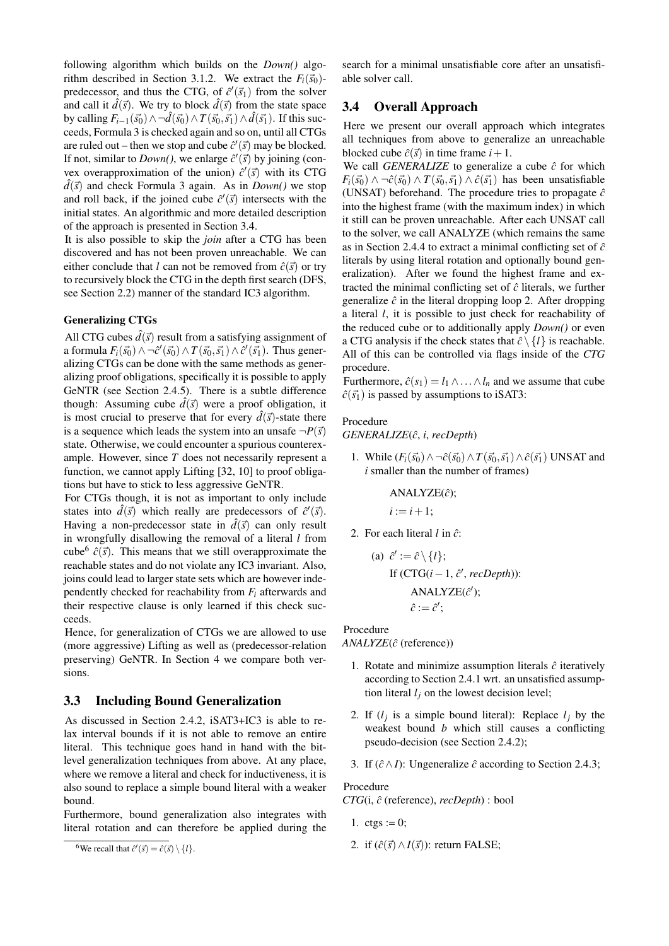following algorithm which builds on the *Down()* algorithm described in Section 3.1.2. We extract the  $F_i(\vec{s}_0)$ predecessor, and thus the CTG, of  $\hat{c}'(\vec{s}_1)$  from the solver and call it  $\hat{d}(\vec{s})$ . We try to block  $\hat{d}(\vec{s})$  from the state space by calling  $F_{i-1}(\vec{s_0}) \wedge \neg \hat{d}(\vec{s_0}) \wedge T(\vec{s_0}, \vec{s_1}) \wedge \hat{d}(\vec{s_1})$ . If this succeeds, Formula 3 is checked again and so on, until all CTGs are ruled out – then we stop and cube  $\hat{c}'(\vec{s})$  may be blocked. If not, similar to *Down*(), we enlarge  $\hat{c}'(\vec{s})$  by joining (convex overapproximation of the union)  $\hat{c}'(\vec{s})$  with its CTG  $d(\vec{s})$  and check Formula 3 again. As in *Down()* we stop and roll back, if the joined cube  $\hat{c}'(\vec{s})$  intersects with the initial states. An algorithmic and more detailed description of the approach is presented in Section 3.4.

It is also possible to skip the *join* after a CTG has been discovered and has not been proven unreachable. We can either conclude that *l* can not be removed from  $\hat{c}(\vec{s})$  or try to recursively block the CTG in the depth first search (DFS, see Section 2.2) manner of the standard IC3 algorithm.

#### Generalizing CTGs

All CTG cubes  $\hat{d}(\vec{s})$  result from a satisfying assignment of a formula  $F_i(\vec{s_0}) \wedge \neg \hat{c}'(\vec{s_0}) \wedge T(\vec{s_0}, \vec{s_1}) \wedge \hat{c}'(\vec{s_1})$ . Thus generalizing CTGs can be done with the same methods as generalizing proof obligations, specifically it is possible to apply GeNTR (see Section 2.4.5). There is a subtle difference though: Assuming cube  $\hat{d}(\vec{s})$  were a proof obligation, it is most crucial to preserve that for every  $\hat{d}(\vec{s})$ -state there is a sequence which leads the system into an unsafe  $\neg P(\vec{s})$ state. Otherwise, we could encounter a spurious counterexample. However, since *T* does not necessarily represent a function, we cannot apply Lifting [32, 10] to proof obligations but have to stick to less aggressive GeNTR.

For CTGs though, it is not as important to only include states into  $\hat{d}(\vec{s})$  which really are predecessors of  $\hat{c}'(\vec{s})$ . Having a non-predecessor state in  $\hat{d}(\vec{s})$  can only result in wrongfully disallowing the removal of a literal *l* from cube<sup>6</sup>  $\hat{c}(\vec{s})$ . This means that we still overapproximate the reachable states and do not violate any IC3 invariant. Also, joins could lead to larger state sets which are however independently checked for reachability from *F<sup>i</sup>* afterwards and their respective clause is only learned if this check succeeds.

Hence, for generalization of CTGs we are allowed to use (more aggressive) Lifting as well as (predecessor-relation preserving) GeNTR. In Section 4 we compare both versions.

#### 3.3 Including Bound Generalization

As discussed in Section 2.4.2, iSAT3+IC3 is able to relax interval bounds if it is not able to remove an entire literal. This technique goes hand in hand with the bitlevel generalization techniques from above. At any place, where we remove a literal and check for inductiveness, it is also sound to replace a simple bound literal with a weaker bound.

Furthermore, bound generalization also integrates with literal rotation and can therefore be applied during the

search for a minimal unsatisfiable core after an unsatisfiable solver call.

## 3.4 Overall Approach

Here we present our overall approach which integrates all techniques from above to generalize an unreachable blocked cube  $\hat{c}(\vec{s})$  in time frame  $i+1$ .

We call *GENERALIZE* to generalize a cube  $\hat{c}$  for which  $F_i(\vec{s_0}) \wedge \neg \hat{c}(\vec{s_0}) \wedge T(\vec{s_0}, \vec{s_1}) \wedge \hat{c}(\vec{s_1})$  has been unsatisfiable (UNSAT) beforehand. The procedure tries to propagate  $\hat{c}$ into the highest frame (with the maximum index) in which it still can be proven unreachable. After each UNSAT call to the solver, we call ANALYZE (which remains the same as in Section 2.4.4 to extract a minimal conflicting set of  $\hat{c}$ literals by using literal rotation and optionally bound generalization). After we found the highest frame and extracted the minimal conflicting set of  $\hat{c}$  literals, we further generalize  $\hat{c}$  in the literal dropping loop 2. After dropping a literal *l*, it is possible to just check for reachability of the reduced cube or to additionally apply *Down()* or even a CTG analysis if the check states that  $\hat{c} \setminus \{l\}$  is reachable. All of this can be controlled via flags inside of the *CTG* procedure.

Furthermore,  $\hat{c}(s_1) = l_1 \wedge \ldots \wedge l_n$  and we assume that cube  $\hat{c}(\vec{s_1})$  is passed by assumptions to iSAT3:

#### Procedure

*GENERALIZE*( ˆ*c*, *i*, *recDepth*)

1. While  $(F_i(\vec{s_0}) \wedge \neg \hat{c}(\vec{s_0}) \wedge T(\vec{s_0}, \vec{s_1}) \wedge \hat{c}(\vec{s_1})$  UNSAT and *i* smaller than the number of frames)

> $ANALYZE(\hat{c})$ ;  $i := i + 1$ ;

2. For each literal  $l$  in  $\hat{c}$ :

(a) 
$$
\hat{c}' := \hat{c} \setminus \{l\};
$$
  
If (CTG(*i* – 1,  $\hat{c}'$ , *recDepth*)):  
ANALYZE( $\hat{c}'$ );  
 $\hat{c} := \hat{c}'$ ;

## Procedure

*ANALYZE*( $\hat{c}$  (reference))

- 1. Rotate and minimize assumption literals  $\hat{c}$  iteratively according to Section 2.4.1 wrt. an unsatisfied assumption literal  $l_j$  on the lowest decision level;
- 2. If  $(l_j$  is a simple bound literal): Replace  $l_j$  by the weakest bound *b* which still causes a conflicting pseudo-decision (see Section 2.4.2);
- 3. If  $(\hat{c} \land I)$ : Ungeneralize  $\hat{c}$  according to Section 2.4.3;

#### Procedure

*CTG*(i, ˆ*c* (reference), *recDepth*) : bool

- 1.  $ctgs := 0$ ;
- 2. if  $(\hat{c}(\vec{s}) \wedge I(\vec{s}))$ : return FALSE;

<sup>&</sup>lt;sup>6</sup>We recall that  $\hat{c}'(\vec{s}) = \hat{c}(\vec{s}) \setminus \{l\}.$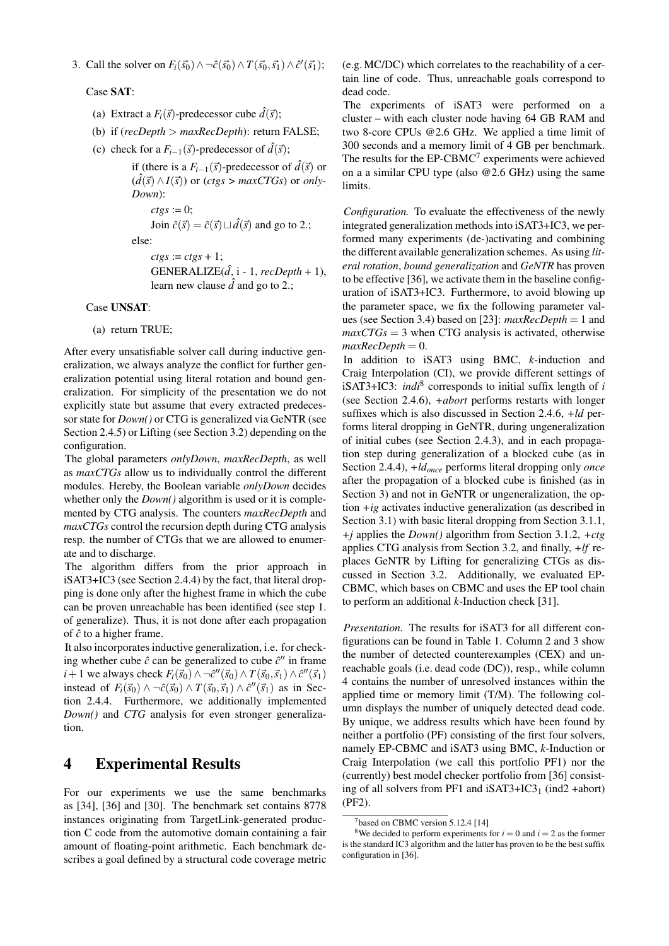3. Call the solver on  $F_i(\vec{s_0}) \wedge \neg \hat{c}(\vec{s_0}) \wedge T(\vec{s_0}, \vec{s_1}) \wedge \hat{c}'(\vec{s_1});$ 

Case SAT:

- (a) Extract a  $F_i(\vec{s})$ -predecessor cube  $\hat{d}(\vec{s})$ ;
- (b) if (*recDepth* > *maxRecDepth*): return FALSE;
- (c) check for a  $F_{i-1}(\vec{s})$ -predecessor of  $\vec{d}(\vec{s})$ ;

```
if (there is a F_{i-1}(\vec{s})-predecessor of \hat{d}(\vec{s}) or
(d(\vec{s}) \land I(\vec{s})) or (ctgs > maxCTGs) or only-
Down):
```

```
ctgs := 0;
```
Join  $\hat{c}(\vec{s}) = \hat{c}(\vec{s}) \sqcup \hat{d}(\vec{s})$  and go to 2.;

else:

```
ctgs := ctgs + 1;GENERALIZE(\hat{d}, i - 1, \text{recDepth} + 1),
learn new clause \hat{d} and go to 2.;
```
#### Case UNSAT:

(a) return TRUE;

After every unsatisfiable solver call during inductive generalization, we always analyze the conflict for further generalization potential using literal rotation and bound generalization. For simplicity of the presentation we do not explicitly state but assume that every extracted predecessor state for *Down()* or CTG is generalized via GeNTR (see Section 2.4.5) or Lifting (see Section 3.2) depending on the configuration.

The global parameters *onlyDown*, *maxRecDepth*, as well as *maxCTGs* allow us to individually control the different modules. Hereby, the Boolean variable *onlyDown* decides whether only the *Down()* algorithm is used or it is complemented by CTG analysis. The counters *maxRecDepth* and *maxCTGs* control the recursion depth during CTG analysis resp. the number of CTGs that we are allowed to enumerate and to discharge.

The algorithm differs from the prior approach in iSAT3+IC3 (see Section 2.4.4) by the fact, that literal dropping is done only after the highest frame in which the cube can be proven unreachable has been identified (see step 1. of generalize). Thus, it is not done after each propagation of  $\hat{c}$  to a higher frame.

It also incorporates inductive generalization, i.e. for checking whether cube  $\hat{c}$  can be generalized to cube  $\hat{c}$ <sup>*''*</sup> in frame *i* + 1 we always check  $F_i(\vec{s}_0) \wedge \neg \hat{c}''(\vec{s}_0) \wedge T(\vec{s}_0, \vec{s}_1) \wedge \hat{c}''(\vec{s}_1)$ instead of  $F_i(\vec{s}_0) \wedge \neg \hat{c}(\vec{s}_0) \wedge T(\vec{s}_0, \vec{s}_1) \wedge \hat{c}''(\vec{s}_1)$  as in Section 2.4.4. Furthermore, we additionally implemented *Down()* and *CTG* analysis for even stronger generalization.

## 4 Experimental Results

For our experiments we use the same benchmarks as [34], [36] and [30]. The benchmark set contains 8778 instances originating from TargetLink-generated production C code from the automotive domain containing a fair amount of floating-point arithmetic. Each benchmark describes a goal defined by a structural code coverage metric (e.g. MC/DC) which correlates to the reachability of a certain line of code. Thus, unreachable goals correspond to dead code.

The experiments of iSAT3 were performed on a cluster – with each cluster node having 64 GB RAM and two 8-core CPUs @2.6 GHz. We applied a time limit of 300 seconds and a memory limit of 4 GB per benchmark. The results for the  $EP{\text -}CBMC$ <sup>7</sup> experiments were achieved on a a similar CPU type (also @2.6 GHz) using the same limits.

*Configuration.* To evaluate the effectiveness of the newly integrated generalization methods into iSAT3+IC3, we performed many experiments (de-)activating and combining the different available generalization schemes. As using *literal rotation*, *bound generalization* and *GeNTR* has proven to be effective [36], we activate them in the baseline configuration of iSAT3+IC3. Furthermore, to avoid blowing up the parameter space, we fix the following parameter values (see Section 3.4) based on [23]: *maxRecDepth* = 1 and  $maxCTGs = 3$  when CTG analysis is activated, otherwise  $maxRecDepth = 0.$ 

In addition to iSAT3 using BMC, *k*-induction and Craig Interpolation (CI), we provide different settings of iSAT3+IC3: *indi*<sup>8</sup> corresponds to initial suffix length of *i* (see Section 2.4.6), *+abort* performs restarts with longer suffixes which is also discussed in Section 2.4.6, *+ld* performs literal dropping in GeNTR, during ungeneralization of initial cubes (see Section 2.4.3), and in each propagation step during generalization of a blocked cube (as in Section 2.4.4), *+ldonce* performs literal dropping only *once* after the propagation of a blocked cube is finished (as in Section 3) and not in GeNTR or ungeneralization, the option *+ig* activates inductive generalization (as described in Section 3.1) with basic literal dropping from Section 3.1.1, *+j* applies the *Down()* algorithm from Section 3.1.2, *+ctg* applies CTG analysis from Section 3.2, and finally, *+lf* replaces GeNTR by Lifting for generalizing CTGs as discussed in Section 3.2. Additionally, we evaluated EP-CBMC, which bases on CBMC and uses the EP tool chain to perform an additional *k*-Induction check [31].

*Presentation.* The results for iSAT3 for all different configurations can be found in Table 1. Column 2 and 3 show the number of detected counterexamples (CEX) and unreachable goals (i.e. dead code (DC)), resp., while column 4 contains the number of unresolved instances within the applied time or memory limit (T/M). The following column displays the number of uniquely detected dead code. By unique, we address results which have been found by neither a portfolio (PF) consisting of the first four solvers, namely EP-CBMC and iSAT3 using BMC, *k*-Induction or Craig Interpolation (we call this portfolio PF1) nor the (currently) best model checker portfolio from [36] consisting of all solvers from PF1 and  $iSAT3+IC3<sub>1</sub>$  (ind2 +abort) (PF2).

 $7$ based on CBMC version 5.12.4 [14]

<sup>&</sup>lt;sup>8</sup>We decided to perform experiments for  $i = 0$  and  $i = 2$  as the former is the standard IC3 algorithm and the latter has proven to be the best suffix configuration in [36].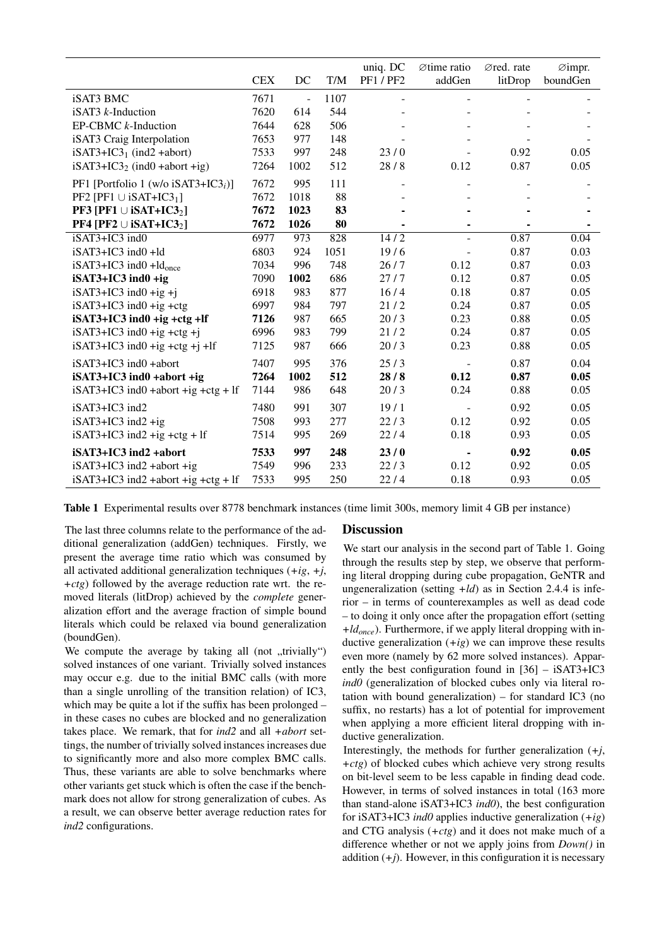|                                                       |            |                |           | uniq. DC                 | $\varnothing$ time ratio | Øred. rate | $\varnothing$ impr. |
|-------------------------------------------------------|------------|----------------|-----------|--------------------------|--------------------------|------------|---------------------|
|                                                       | <b>CEX</b> | DC             | $\rm T/M$ | <b>PF1/PF2</b>           | addGen                   | litDrop    | boundGen            |
| iSAT3 BMC                                             | 7671       | $\overline{a}$ | 1107      | $\overline{\phantom{a}}$ | $\overline{\phantom{a}}$ |            |                     |
| iSAT3 $k$ -Induction                                  | 7620       | 614            | 544       |                          |                          |            |                     |
| $EP-CBMC$ $k$ -Induction                              | 7644       | 628            | 506       |                          |                          |            |                     |
| iSAT3 Craig Interpolation                             | 7653       | 977            | 148       |                          |                          |            |                     |
| $iSAT3+IC31$ (ind2 +abort)                            | 7533       | 997            | 248       | 23/0                     |                          | 0.92       | 0.05                |
| $iSAT3+IC32$ (ind0 +abort +ig)                        | 7264       | 1002           | 512       | 28/8                     | 0.12                     | 0.87       | 0.05                |
| PF1 [Portfolio 1 (w/o iSAT3+IC3 <sub>i</sub> )]       | 7672       | 995            | 111       |                          |                          |            |                     |
| PF2 [PF1 $\cup$ iSAT+IC3 <sub>1</sub> ]               | 7672       | 1018           | 88        |                          |                          |            |                     |
| <b>PF3</b> [PF1 $\cup$ <b>iSAT+IC3</b> <sub>2</sub> ] | 7672       | 1023           | 83        |                          |                          |            |                     |
| <b>PF4</b> [PF2 $\cup$ iSAT+IC3 <sub>2</sub> ]        | 7672       | 1026           | 80        |                          |                          |            |                     |
| iSAT3+IC3 ind0                                        | 6977       | 973            | 828       | 14/2                     | $\overline{\phantom{a}}$ | 0.87       | 0.04                |
| iSAT3+IC3 ind0 +ld                                    | 6803       | 924            | 1051      | 19/6                     |                          | 0.87       | 0.03                |
| $iSAT3+IC3$ ind $0+Id_{\text{once}}$                  | 7034       | 996            | 748       | 26/7                     | 0.12                     | 0.87       | 0.03                |
| $iSAT3+IC3$ ind $0 + ig$                              | 7090       | 1002           | 686       | 27/7                     | 0.12                     | 0.87       | 0.05                |
| $iSAT3+IC3$ ind $0 + ig + j$                          | 6918       | 983            | 877       | 16/4                     | 0.18                     | 0.87       | 0.05                |
| $iSAT3+IC3$ ind $0 + ig + ctg$                        | 6997       | 984            | 797       | 21/2                     | 0.24                     | 0.87       | 0.05                |
| $iSAT3+IC3$ ind $0 + ig + ctg + If$                   | 7126       | 987            | 665       | 20/3                     | 0.23                     | 0.88       | 0.05                |
| $iSAT3+IC3$ ind $0 + ig + ctg + j$                    | 6996       | 983            | 799       | 21/2                     | 0.24                     | 0.87       | 0.05                |
| $iSAT3+IC3$ ind $0 + ig + ctg + j + lf$               | 7125       | 987            | 666       | 20/3                     | 0.23                     | 0.88       | 0.05                |
| iSAT3+IC3 ind0 +abort                                 | 7407       | 995            | 376       | 25/3                     |                          | 0.87       | 0.04                |
| $iSAT3+IC3$ ind $0 + abort + ig$                      | 7264       | 1002           | 512       | 28/8                     | 0.12                     | 0.87       | 0.05                |
| $iSAT3+IC3$ ind0 +abort +ig +ctg + lf                 | 7144       | 986            | 648       | 20/3                     | 0.24                     | 0.88       | 0.05                |
| iSAT3+IC3 ind2                                        | 7480       | 991            | 307       | 19/1                     |                          | 0.92       | 0.05                |
| $iSAT3+IC3$ ind $2 + ig$                              | 7508       | 993            | 277       | 22/3                     | 0.12                     | 0.92       | 0.05                |
| $iSAT3+IC3$ ind2 +ig +ctg + lf                        | 7514       | 995            | 269       | 22/4                     | 0.18                     | 0.93       | 0.05                |
| iSAT3+IC3 ind2 +abort                                 | 7533       | 997            | 248       | 23/0                     | $\blacksquare$           | 0.92       | 0.05                |
| $iSAT3+IC3$ ind2 +abort +ig                           | 7549       | 996            | 233       | 22/3                     | 0.12                     | 0.92       | 0.05                |
| $iSAT3+IC3$ ind2 +abort +ig +ctg + lf                 | 7533       | 995            | 250       | 22/4                     | 0.18                     | 0.93       | 0.05                |

Table 1 Experimental results over 8778 benchmark instances (time limit 300s, memory limit 4 GB per instance)

The last three columns relate to the performance of the additional generalization (addGen) techniques. Firstly, we present the average time ratio which was consumed by all activated additional generalization techniques (*+ig*, *+j*, *+ctg*) followed by the average reduction rate wrt. the removed literals (litDrop) achieved by the *complete* generalization effort and the average fraction of simple bound literals which could be relaxed via bound generalization (boundGen).

We compute the average by taking all (not  $\mu$ trivially") solved instances of one variant. Trivially solved instances may occur e.g. due to the initial BMC calls (with more than a single unrolling of the transition relation) of IC3, which may be quite a lot if the suffix has been prolonged – in these cases no cubes are blocked and no generalization takes place. We remark, that for *ind2* and all *+abort* settings, the number of trivially solved instances increases due to significantly more and also more complex BMC calls. Thus, these variants are able to solve benchmarks where other variants get stuck which is often the case if the benchmark does not allow for strong generalization of cubes. As a result, we can observe better average reduction rates for *ind2* configurations.

## **Discussion**

We start our analysis in the second part of Table 1. Going through the results step by step, we observe that performing literal dropping during cube propagation, GeNTR and ungeneralization (setting *+ld*) as in Section 2.4.4 is inferior – in terms of counterexamples as well as dead code – to doing it only once after the propagation effort (setting *+ldonce*). Furthermore, if we apply literal dropping with inductive generalization (*+ig*) we can improve these results even more (namely by 62 more solved instances). Apparently the best configuration found in [36] – iSAT3+IC3 *ind0* (generalization of blocked cubes only via literal rotation with bound generalization) – for standard IC3 (no suffix, no restarts) has a lot of potential for improvement when applying a more efficient literal dropping with inductive generalization.

Interestingly, the methods for further generalization (*+j*, *+ctg*) of blocked cubes which achieve very strong results on bit-level seem to be less capable in finding dead code. However, in terms of solved instances in total (163 more than stand-alone iSAT3+IC3 *ind0*), the best configuration for iSAT3+IC3 *ind0* applies inductive generalization (*+ig*) and CTG analysis (*+ctg*) and it does not make much of a difference whether or not we apply joins from *Down()* in addition  $(+i)$ . However, in this configuration it is necessary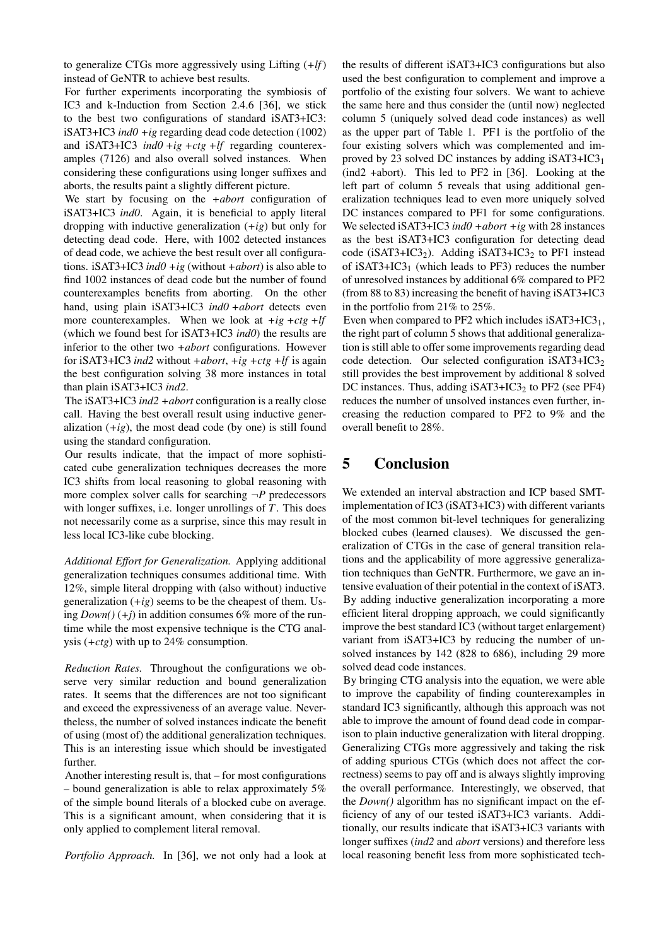to generalize CTGs more aggressively using Lifting (*+lf*) instead of GeNTR to achieve best results.

For further experiments incorporating the symbiosis of IC3 and k-Induction from Section 2.4.6 [36], we stick to the best two configurations of standard iSAT3+IC3: iSAT3+IC3 *ind0 +ig* regarding dead code detection (1002) and iSAT3+IC3 *ind0 +ig +ctg +lf* regarding counterexamples (7126) and also overall solved instances. When considering these configurations using longer suffixes and aborts, the results paint a slightly different picture.

We start by focusing on the *+abort* configuration of iSAT3+IC3 *ind0*. Again, it is beneficial to apply literal dropping with inductive generalization (*+ig*) but only for detecting dead code. Here, with 1002 detected instances of dead code, we achieve the best result over all configurations. iSAT3+IC3 *ind0 +ig* (without *+abort*) is also able to find 1002 instances of dead code but the number of found counterexamples benefits from aborting. On the other hand, using plain iSAT3+IC3 *ind0 +abort* detects even more counterexamples. When we look at *+ig +ctg +lf* (which we found best for iSAT3+IC3 *ind0*) the results are inferior to the other two *+abort* configurations. However for iSAT3+IC3 *ind2* without *+abort*, *+ig +ctg +lf* is again the best configuration solving 38 more instances in total than plain iSAT3+IC3 *ind2*.

The iSAT3+IC3 *ind2 +abort* configuration is a really close call. Having the best overall result using inductive generalization  $(+ig)$ , the most dead code (by one) is still found using the standard configuration.

Our results indicate, that the impact of more sophisticated cube generalization techniques decreases the more IC3 shifts from local reasoning to global reasoning with more complex solver calls for searching  $\neg P$  predecessors with longer suffixes, i.e. longer unrollings of *T*. This does not necessarily come as a surprise, since this may result in less local IC3-like cube blocking.

*Additional Effort for Generalization.* Applying additional generalization techniques consumes additional time. With 12%, simple literal dropping with (also without) inductive generalization  $(+ig)$  seems to be the cheapest of them. Using  $Down() (+i)$  in addition consumes 6% more of the runtime while the most expensive technique is the CTG analysis (*+ctg*) with up to 24% consumption.

*Reduction Rates.* Throughout the configurations we observe very similar reduction and bound generalization rates. It seems that the differences are not too significant and exceed the expressiveness of an average value. Nevertheless, the number of solved instances indicate the benefit of using (most of) the additional generalization techniques. This is an interesting issue which should be investigated further.

Another interesting result is, that – for most configurations – bound generalization is able to relax approximately 5% of the simple bound literals of a blocked cube on average. This is a significant amount, when considering that it is only applied to complement literal removal.

*Portfolio Approach.* In [36], we not only had a look at

the results of different iSAT3+IC3 configurations but also used the best configuration to complement and improve a portfolio of the existing four solvers. We want to achieve the same here and thus consider the (until now) neglected column 5 (uniquely solved dead code instances) as well as the upper part of Table 1. PF1 is the portfolio of the four existing solvers which was complemented and improved by 23 solved DC instances by adding  $iSAT3+IC3<sub>1</sub>$ (ind2 +abort). This led to PF2 in [36]. Looking at the left part of column 5 reveals that using additional generalization techniques lead to even more uniquely solved DC instances compared to PF1 for some configurations. We selected iSAT3+IC3 *ind0 +abort +ig* with 28 instances as the best iSAT3+IC3 configuration for detecting dead code ( $iSAT3+IC3<sub>2</sub>$ ). Adding  $iSAT3+IC3<sub>2</sub>$  to PF1 instead of iSAT3+IC3 $_1$  (which leads to PF3) reduces the number of unresolved instances by additional 6% compared to PF2 (from 88 to 83) increasing the benefit of having iSAT3+IC3 in the portfolio from 21% to 25%.

Even when compared to PF2 which includes  $iSAT3+IC3<sub>1</sub>$ , the right part of column 5 shows that additional generalization is still able to offer some improvements regarding dead code detection. Our selected configuration  $iSAT3+IC3<sub>2</sub>$ still provides the best improvement by additional 8 solved DC instances. Thus, adding  $iSAT3+IC3<sub>2</sub>$  to PF2 (see PF4) reduces the number of unsolved instances even further, increasing the reduction compared to PF2 to 9% and the overall benefit to 28%.

# 5 Conclusion

We extended an interval abstraction and ICP based SMTimplementation of IC3 (iSAT3+IC3) with different variants of the most common bit-level techniques for generalizing blocked cubes (learned clauses). We discussed the generalization of CTGs in the case of general transition relations and the applicability of more aggressive generalization techniques than GeNTR. Furthermore, we gave an intensive evaluation of their potential in the context of iSAT3. By adding inductive generalization incorporating a more efficient literal dropping approach, we could significantly improve the best standard IC3 (without target enlargement) variant from iSAT3+IC3 by reducing the number of unsolved instances by 142 (828 to 686), including 29 more solved dead code instances.

By bringing CTG analysis into the equation, we were able to improve the capability of finding counterexamples in standard IC3 significantly, although this approach was not able to improve the amount of found dead code in comparison to plain inductive generalization with literal dropping. Generalizing CTGs more aggressively and taking the risk of adding spurious CTGs (which does not affect the correctness) seems to pay off and is always slightly improving the overall performance. Interestingly, we observed, that the *Down()* algorithm has no significant impact on the efficiency of any of our tested iSAT3+IC3 variants. Additionally, our results indicate that iSAT3+IC3 variants with longer suffixes (*ind2* and *abort* versions) and therefore less local reasoning benefit less from more sophisticated tech-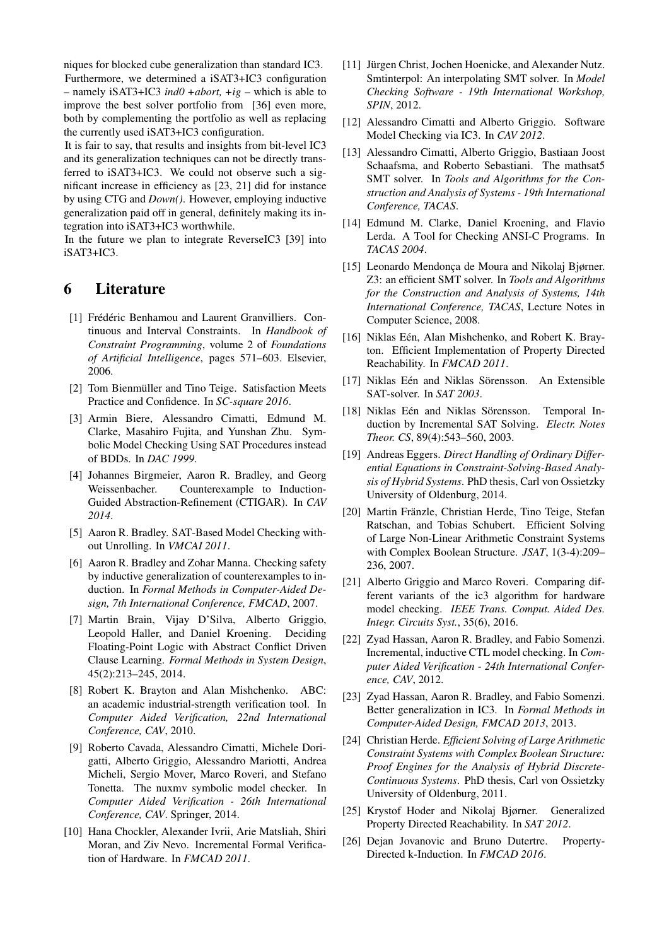niques for blocked cube generalization than standard IC3. Furthermore, we determined a iSAT3+IC3 configuration – namely iSAT3+IC3 *ind0 +abort, +ig* – which is able to improve the best solver portfolio from [36] even more, both by complementing the portfolio as well as replacing the currently used iSAT3+IC3 configuration.

It is fair to say, that results and insights from bit-level IC3 and its generalization techniques can not be directly transferred to iSAT3+IC3. We could not observe such a significant increase in efficiency as [23, 21] did for instance by using CTG and *Down()*. However, employing inductive generalization paid off in general, definitely making its integration into iSAT3+IC3 worthwhile.

In the future we plan to integrate ReverseIC3 [39] into iSAT3+IC3.

## 6 Literature

- [1] Frédéric Benhamou and Laurent Granvilliers. Continuous and Interval Constraints. In *Handbook of Constraint Programming*, volume 2 of *Foundations of Artificial Intelligence*, pages 571–603. Elsevier, 2006.
- [2] Tom Bienmüller and Tino Teige. Satisfaction Meets Practice and Confidence. In *SC-square 2016*.
- [3] Armin Biere, Alessandro Cimatti, Edmund M. Clarke, Masahiro Fujita, and Yunshan Zhu. Symbolic Model Checking Using SAT Procedures instead of BDDs. In *DAC 1999*.
- [4] Johannes Birgmeier, Aaron R. Bradley, and Georg Weissenbacher. Counterexample to Induction-Guided Abstraction-Refinement (CTIGAR). In *CAV 2014*.
- [5] Aaron R. Bradley. SAT-Based Model Checking without Unrolling. In *VMCAI 2011*.
- [6] Aaron R. Bradley and Zohar Manna. Checking safety by inductive generalization of counterexamples to induction. In *Formal Methods in Computer-Aided Design, 7th International Conference, FMCAD*, 2007.
- [7] Martin Brain, Vijay D'Silva, Alberto Griggio, Leopold Haller, and Daniel Kroening. Deciding Floating-Point Logic with Abstract Conflict Driven Clause Learning. *Formal Methods in System Design*, 45(2):213–245, 2014.
- [8] Robert K. Brayton and Alan Mishchenko. ABC: an academic industrial-strength verification tool. In *Computer Aided Verification, 22nd International Conference, CAV*, 2010.
- [9] Roberto Cavada, Alessandro Cimatti, Michele Dorigatti, Alberto Griggio, Alessandro Mariotti, Andrea Micheli, Sergio Mover, Marco Roveri, and Stefano Tonetta. The nuxmv symbolic model checker. In *Computer Aided Verification - 26th International Conference, CAV*. Springer, 2014.
- [10] Hana Chockler, Alexander Ivrii, Arie Matsliah, Shiri Moran, and Ziv Nevo. Incremental Formal Verification of Hardware. In *FMCAD 2011*.
- [11] Jürgen Christ, Jochen Hoenicke, and Alexander Nutz. Smtinterpol: An interpolating SMT solver. In *Model Checking Software - 19th International Workshop, SPIN*, 2012.
- [12] Alessandro Cimatti and Alberto Griggio. Software Model Checking via IC3. In *CAV 2012*.
- [13] Alessandro Cimatti, Alberto Griggio, Bastiaan Joost Schaafsma, and Roberto Sebastiani. The mathsat5 SMT solver. In *Tools and Algorithms for the Construction and Analysis of Systems - 19th International Conference, TACAS*.
- [14] Edmund M. Clarke, Daniel Kroening, and Flavio Lerda. A Tool for Checking ANSI-C Programs. In *TACAS 2004*.
- [15] Leonardo Mendonça de Moura and Nikolaj Bjørner. Z3: an efficient SMT solver. In *Tools and Algorithms for the Construction and Analysis of Systems, 14th International Conference, TACAS*, Lecture Notes in Computer Science, 2008.
- [16] Niklas Eén, Alan Mishchenko, and Robert K. Brayton. Efficient Implementation of Property Directed Reachability. In *FMCAD 2011*.
- [17] Niklas Eén and Niklas Sörensson. An Extensible SAT-solver. In *SAT 2003*.
- [18] Niklas Eén and Niklas Sörensson. Temporal Induction by Incremental SAT Solving. *Electr. Notes Theor. CS*, 89(4):543–560, 2003.
- [19] Andreas Eggers. *Direct Handling of Ordinary Differential Equations in Constraint-Solving-Based Analysis of Hybrid Systems*. PhD thesis, Carl von Ossietzky University of Oldenburg, 2014.
- [20] Martin Fränzle, Christian Herde, Tino Teige, Stefan Ratschan, and Tobias Schubert. Efficient Solving of Large Non-Linear Arithmetic Constraint Systems with Complex Boolean Structure. *JSAT*, 1(3-4):209– 236, 2007.
- [21] Alberto Griggio and Marco Roveri. Comparing different variants of the ic3 algorithm for hardware model checking. *IEEE Trans. Comput. Aided Des. Integr. Circuits Syst.*, 35(6), 2016.
- [22] Zyad Hassan, Aaron R. Bradley, and Fabio Somenzi. Incremental, inductive CTL model checking. In *Computer Aided Verification - 24th International Conference, CAV*, 2012.
- [23] Zyad Hassan, Aaron R. Bradley, and Fabio Somenzi. Better generalization in IC3. In *Formal Methods in Computer-Aided Design, FMCAD 2013*, 2013.
- [24] Christian Herde. *Efficient Solving of Large Arithmetic Constraint Systems with Complex Boolean Structure: Proof Engines for the Analysis of Hybrid Discrete-Continuous Systems*. PhD thesis, Carl von Ossietzky University of Oldenburg, 2011.
- [25] Krystof Hoder and Nikolaj Bjørner. Generalized Property Directed Reachability. In *SAT 2012*.
- [26] Dejan Jovanovic and Bruno Dutertre. Property-Directed k-Induction. In *FMCAD 2016*.